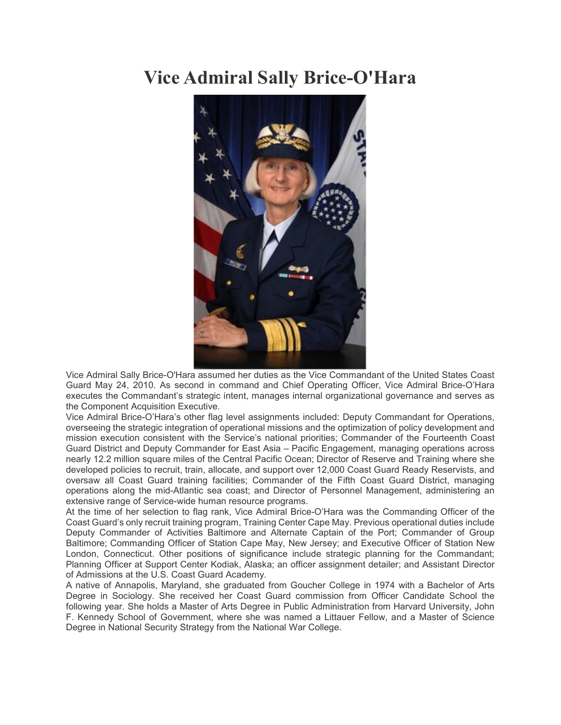## **Vice Admiral Sally Brice-O'Hara**



Vice Admiral Sally Brice-O'Hara assumed her duties as the Vice Commandant of the United States Coast Guard May 24, 2010. As second in command and Chief Operating Officer, Vice Admiral Brice-O'Hara executes the Commandant's strategic intent, manages internal organizational governance and serves as the Component Acquisition Executive.

Vice Admiral Brice-O'Hara's other flag level assignments included: Deputy Commandant for Operations, overseeing the strategic integration of operational missions and the optimization of policy development and mission execution consistent with the Service's national priorities; Commander of the Fourteenth Coast Guard District and Deputy Commander for East Asia – Pacific Engagement, managing operations across nearly 12.2 million square miles of the Central Pacific Ocean; Director of Reserve and Training where she developed policies to recruit, train, allocate, and support over 12,000 Coast Guard Ready Reservists, and oversaw all Coast Guard training facilities; Commander of the Fifth Coast Guard District, managing operations along the mid-Atlantic sea coast; and Director of Personnel Management, administering an extensive range of Service-wide human resource programs.

At the time of her selection to flag rank, Vice Admiral Brice-O'Hara was the Commanding Officer of the Coast Guard's only recruit training program, Training Center Cape May. Previous operational duties include Deputy Commander of Activities Baltimore and Alternate Captain of the Port; Commander of Group Baltimore; Commanding Officer of Station Cape May, New Jersey; and Executive Officer of Station New London, Connecticut. Other positions of significance include strategic planning for the Commandant; Planning Officer at Support Center Kodiak, Alaska; an officer assignment detailer; and Assistant Director of Admissions at the U.S. Coast Guard Academy.

A native of Annapolis, Maryland, she graduated from Goucher College in 1974 with a Bachelor of Arts Degree in Sociology. She received her Coast Guard commission from Officer Candidate School the following year. She holds a Master of Arts Degree in Public Administration from Harvard University, John F. Kennedy School of Government, where she was named a Littauer Fellow, and a Master of Science Degree in National Security Strategy from the National War College.